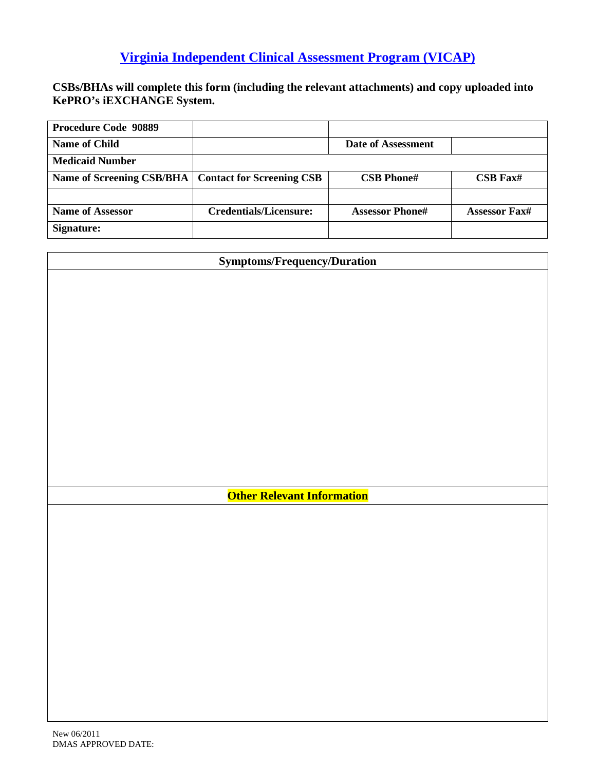**CSBs/BHAs will complete this form (including the relevant attachments) and copy uploaded into KePRO's iEXCHANGE System.**

| <b>Procedure Code 90889</b> |                                  |                        |                      |
|-----------------------------|----------------------------------|------------------------|----------------------|
| Name of Child               |                                  | Date of Assessment     |                      |
| <b>Medicaid Number</b>      |                                  |                        |                      |
| Name of Screening CSB/BHA   | <b>Contact for Screening CSB</b> | <b>CSB Phone#</b>      | $CSB$ Fax#           |
|                             |                                  |                        |                      |
| <b>Name of Assessor</b>     | <b>Credentials/Licensure:</b>    | <b>Assessor Phone#</b> | <b>Assessor Fax#</b> |
| Signature:                  |                                  |                        |                      |

| <b>Symptoms/Frequency/Duration</b> |  |
|------------------------------------|--|
|                                    |  |
|                                    |  |
|                                    |  |
|                                    |  |
|                                    |  |
|                                    |  |
|                                    |  |
|                                    |  |
|                                    |  |
|                                    |  |
|                                    |  |
|                                    |  |
|                                    |  |
| <b>Other Relevant Information</b>  |  |
|                                    |  |
|                                    |  |
|                                    |  |
|                                    |  |
|                                    |  |
|                                    |  |
|                                    |  |
|                                    |  |
|                                    |  |
|                                    |  |
|                                    |  |
|                                    |  |
|                                    |  |
|                                    |  |
| New 06/2011                        |  |
| <b>DMAS APPROVED DATE:</b>         |  |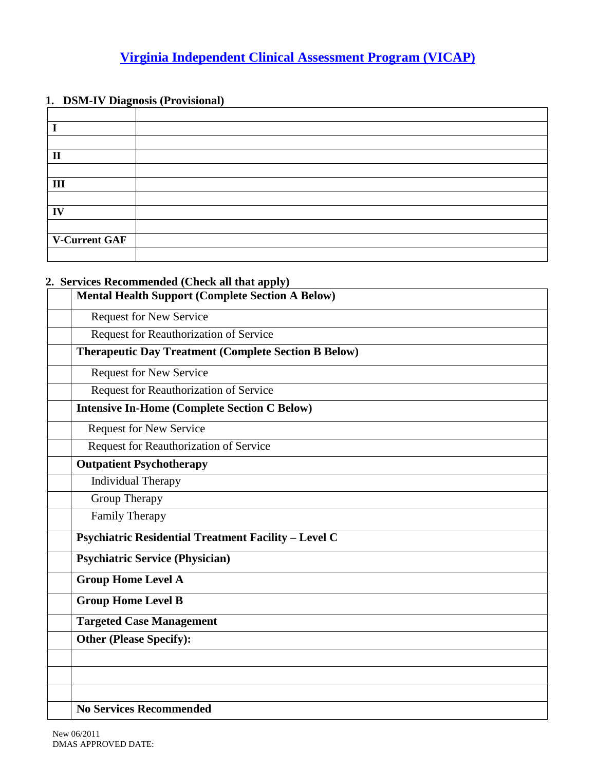#### **1. DSM-IV Diagnosis (Provisional)**

| $\mathbf{I}$  |  |
|---------------|--|
|               |  |
| III           |  |
|               |  |
| IV            |  |
|               |  |
| V-Current GAF |  |
|               |  |

#### **2. Services Recommended (Check all that apply)**

| <b>Mental Health Support (Complete Section A Below)</b>     |  |
|-------------------------------------------------------------|--|
| <b>Request for New Service</b>                              |  |
| Request for Reauthorization of Service                      |  |
| <b>Therapeutic Day Treatment (Complete Section B Below)</b> |  |
| <b>Request for New Service</b>                              |  |
| Request for Reauthorization of Service                      |  |
| <b>Intensive In-Home (Complete Section C Below)</b>         |  |
| <b>Request for New Service</b>                              |  |
| Request for Reauthorization of Service                      |  |
| <b>Outpatient Psychotherapy</b>                             |  |
| <b>Individual Therapy</b>                                   |  |
| Group Therapy                                               |  |
| <b>Family Therapy</b>                                       |  |
| <b>Psychiatric Residential Treatment Facility - Level C</b> |  |
| <b>Psychiatric Service (Physician)</b>                      |  |
| <b>Group Home Level A</b>                                   |  |
| <b>Group Home Level B</b>                                   |  |
| <b>Targeted Case Management</b>                             |  |
| <b>Other (Please Specify):</b>                              |  |
|                                                             |  |
|                                                             |  |
|                                                             |  |
| <b>No Services Recommended</b>                              |  |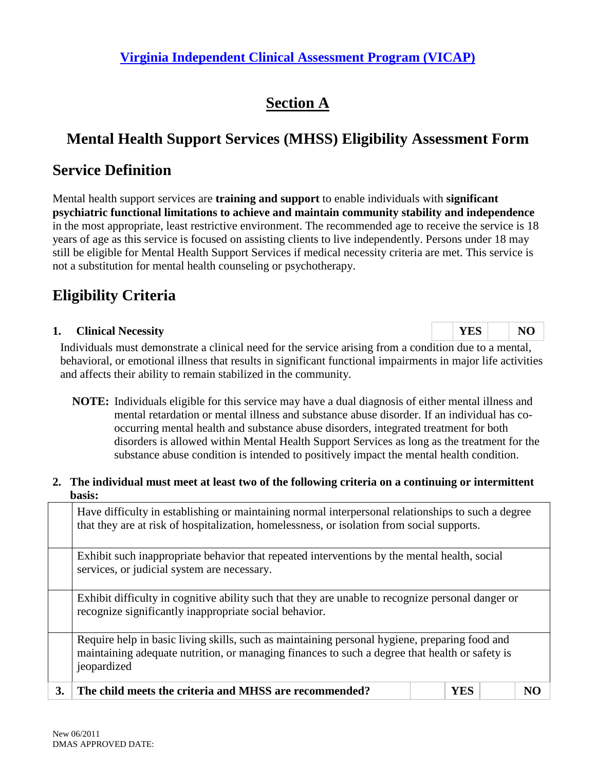# **Section A**

# **Mental Health Support Services (MHSS) Eligibility Assessment Form**

## **Service Definition**

Mental health support services are **training and support** to enable individuals with **significant psychiatric functional limitations to achieve and maintain community stability and independence** in the most appropriate, least restrictive environment. The recommended age to receive the service is 18 years of age as this service is focused on assisting clients to live independently. Persons under 18 may still be eligible for Mental Health Support Services if medical necessity criteria are met. This service is not a substitution for mental health counseling or psychotherapy.

# **Eligibility Criteria**

#### **1. Clinical Necessity** NO

Individuals must demonstrate a clinical need for the service arising from a condition due to a mental, behavioral, or emotional illness that results in significant functional impairments in major life activities and affects their ability to remain stabilized in the community.

**NOTE:** Individuals eligible for this service may have a dual diagnosis of either mental illness and mental retardation or mental illness and substance abuse disorder. If an individual has cooccurring mental health and substance abuse disorders, integrated treatment for both disorders is allowed within Mental Health Support Services as long as the treatment for the substance abuse condition is intended to positively impact the mental health condition.

#### **2. The individual must meet at least two of the following criteria on a continuing or intermittent basis:**

|    | Have difficulty in establishing or maintaining normal interpersonal relationships to such a degree<br>that they are at risk of hospitalization, homelessness, or isolation from social supports.               |  |  |  |  |  |  |  |  |
|----|----------------------------------------------------------------------------------------------------------------------------------------------------------------------------------------------------------------|--|--|--|--|--|--|--|--|
|    | Exhibit such inappropriate behavior that repeated interventions by the mental health, social<br>services, or judicial system are necessary.                                                                    |  |  |  |  |  |  |  |  |
|    | Exhibit difficulty in cognitive ability such that they are unable to recognize personal danger or<br>recognize significantly inappropriate social behavior.                                                    |  |  |  |  |  |  |  |  |
|    | Require help in basic living skills, such as maintaining personal hygiene, preparing food and<br>maintaining adequate nutrition, or managing finances to such a degree that health or safety is<br>jeopardized |  |  |  |  |  |  |  |  |
| 3. | The child meets the criteria and MHSS are recommended?<br><b>YES</b><br>NO                                                                                                                                     |  |  |  |  |  |  |  |  |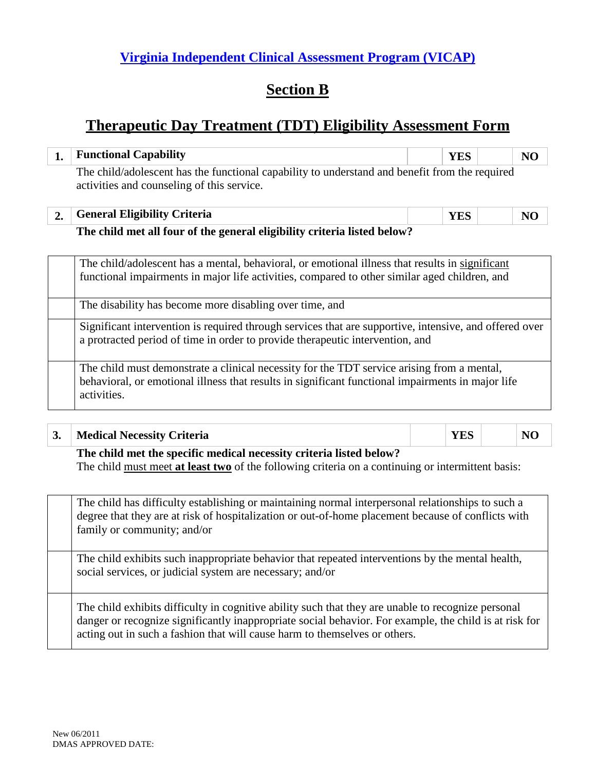## **Section B**

## **Therapeutic Day Treatment (TDT) Eligibility Assessment Form**

| 1. | <b>Functional Capability</b>                                                                                                                                                                                                                                | <b>YES</b> | N <sub>O</sub> |  |  |  |  |  |
|----|-------------------------------------------------------------------------------------------------------------------------------------------------------------------------------------------------------------------------------------------------------------|------------|----------------|--|--|--|--|--|
|    | The child/adolescent has the functional capability to understand and benefit from the required<br>activities and counseling of this service.                                                                                                                |            |                |  |  |  |  |  |
| 2. | <b>General Eligibility Criteria</b>                                                                                                                                                                                                                         | <b>YES</b> | N <sub>O</sub> |  |  |  |  |  |
|    | The child met all four of the general eligibility criteria listed below?                                                                                                                                                                                    |            |                |  |  |  |  |  |
|    | The child/adolescent has a mental, behavioral, or emotional illness that results in significant<br>functional impairments in major life activities, compared to other similar aged children, and<br>The disability has become more disabling over time, and |            |                |  |  |  |  |  |
|    | Significant intervention is required through services that are supportive, intensive, and offered over<br>a protracted period of time in order to provide therapeutic intervention, and                                                                     |            |                |  |  |  |  |  |
|    | The child must demonstrate a clinical necessity for the TDT service arising from a mental,<br>behavioral, or emotional illness that results in significant functional impairments in major life<br>activities.                                              |            |                |  |  |  |  |  |

| $\mathbf{a}$<br>◡• |     |        | <b>Medical Necessity Criteria</b> |        |      |  |  |      |     |  |  |  |  |
|--------------------|-----|--------|-----------------------------------|--------|------|--|--|------|-----|--|--|--|--|
|                    | $-$ | - -- - |                                   | $\sim$ | $ -$ |  |  | $ -$ | --- |  |  |  |  |

**The child met the specific medical necessity criteria listed below?** The child must meet **at least two** of the following criteria on a continuing or intermittent basis:

| The child has difficulty establishing or maintaining normal interpersonal relationships to such a<br>degree that they are at risk of hospitalization or out-of-home placement because of conflicts with<br>family or community; and/or                                                     |
|--------------------------------------------------------------------------------------------------------------------------------------------------------------------------------------------------------------------------------------------------------------------------------------------|
| The child exhibits such inappropriate behavior that repeated interventions by the mental health,<br>social services, or judicial system are necessary; and/or                                                                                                                              |
| The child exhibits difficulty in cognitive ability such that they are unable to recognize personal<br>danger or recognize significantly inappropriate social behavior. For example, the child is at risk for<br>acting out in such a fashion that will cause harm to themselves or others. |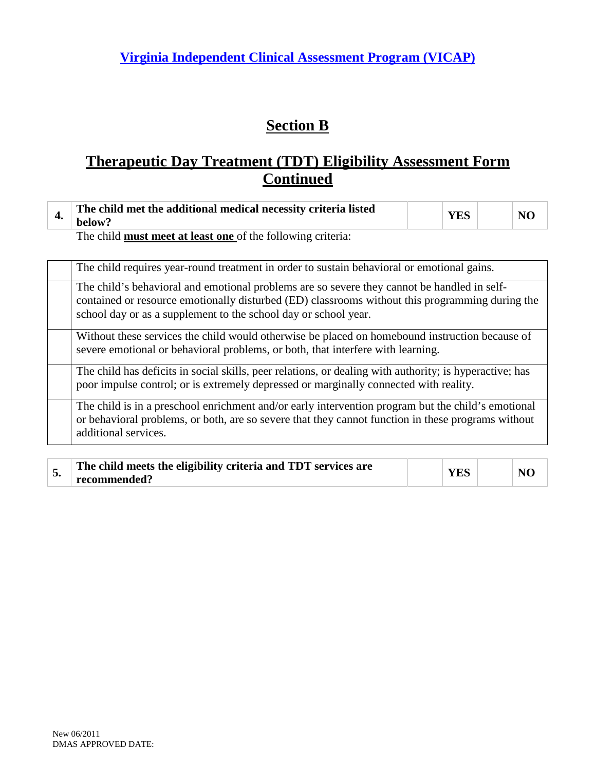# **Section B**

## **Therapeutic Day Treatment (TDT) Eligibility Assessment Form Continued**

|--|

The child **must meet at least one** of the following criteria:

| The child requires year-round treatment in order to sustain behavioral or emotional gains.                                                                                                                                                                        |
|-------------------------------------------------------------------------------------------------------------------------------------------------------------------------------------------------------------------------------------------------------------------|
| The child's behavioral and emotional problems are so severe they cannot be handled in self-<br>contained or resource emotionally disturbed (ED) classrooms without this programming during the<br>school day or as a supplement to the school day or school year. |
| Without these services the child would otherwise be placed on homebound instruction because of<br>severe emotional or behavioral problems, or both, that interfere with learning.                                                                                 |
| The child has deficits in social skills, peer relations, or dealing with authority; is hyperactive; has<br>poor impulse control; or is extremely depressed or marginally connected with reality.                                                                  |
| The child is in a preschool enrichment and/or early intervention program but the child's emotional<br>or behavioral problems, or both, are so severe that they cannot function in these programs without<br>additional services.                                  |

| The child meets the eligibility criteria and TDT services are | <b>YES</b> | NC |
|---------------------------------------------------------------|------------|----|
| recommended?                                                  |            |    |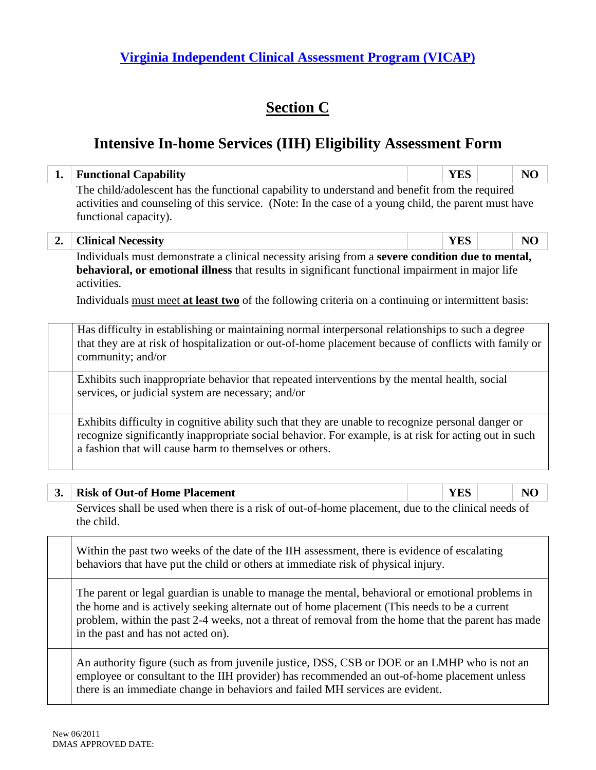## **Section C**

### **Intensive In-home Services (IIH) Eligibility Assessment Form**

| 1. | <b>Functional Capability</b>                                                                                                                                                                                                                                                                                                                 | <b>YES</b> | NO |  |  |  |  |  |  |
|----|----------------------------------------------------------------------------------------------------------------------------------------------------------------------------------------------------------------------------------------------------------------------------------------------------------------------------------------------|------------|----|--|--|--|--|--|--|
|    | The child/adolescent has the functional capability to understand and benefit from the required<br>activities and counseling of this service. (Note: In the case of a young child, the parent must have<br>functional capacity).                                                                                                              |            |    |  |  |  |  |  |  |
| 2. | <b>Clinical Necessity</b>                                                                                                                                                                                                                                                                                                                    | <b>YES</b> | NO |  |  |  |  |  |  |
|    | Individuals must demonstrate a clinical necessity arising from a severe condition due to mental,<br>behavioral, or emotional illness that results in significant functional impairment in major life<br>activities.<br>Individuals must meet at least two of the following criteria on a continuing or intermittent basis:                   |            |    |  |  |  |  |  |  |
|    | Has difficulty in establishing or maintaining normal interpersonal relationships to such a degree<br>that they are at risk of hospitalization or out-of-home placement because of conflicts with family or<br>community; and/or                                                                                                              |            |    |  |  |  |  |  |  |
|    | Exhibits such inappropriate behavior that repeated interventions by the mental health, social<br>services, or judicial system are necessary; and/or                                                                                                                                                                                          |            |    |  |  |  |  |  |  |
|    | Exhibits difficulty in cognitive ability such that they are unable to recognize personal danger or<br>recognize significantly inappropriate social behavior. For example, is at risk for acting out in such<br>a fashion that will cause harm to themselves or others.                                                                       |            |    |  |  |  |  |  |  |
| 3. | <b>Risk of Out-of Home Placement</b>                                                                                                                                                                                                                                                                                                         | <b>YES</b> | NO |  |  |  |  |  |  |
|    | Services shall be used when there is a risk of out-of-home placement, due to the clinical needs of<br>the child.                                                                                                                                                                                                                             |            |    |  |  |  |  |  |  |
|    | Within the past two weeks of the date of the IIH assessment, there is evidence of escalating<br>behaviors that have put the child or others at immediate risk of physical injury.                                                                                                                                                            |            |    |  |  |  |  |  |  |
|    | The parent or legal guardian is unable to manage the mental, behavioral or emotional problems in<br>the home and is actively seeking alternate out of home placement (This needs to be a current<br>problem, within the past 2-4 weeks, not a threat of removal from the home that the parent has made<br>in the past and has not acted on). |            |    |  |  |  |  |  |  |
|    | An authority figure (such as from invenile instice DSS, CSB or DOE or an I MHP who is not an                                                                                                                                                                                                                                                 |            |    |  |  |  |  |  |  |

An authority figure (such as from juvenile justice, DSS, CSB or DOE or an LMHP who is not an employee or consultant to the IIH provider) has recommended an out-of-home placement unless there is an immediate change in behaviors and failed MH services are evident.